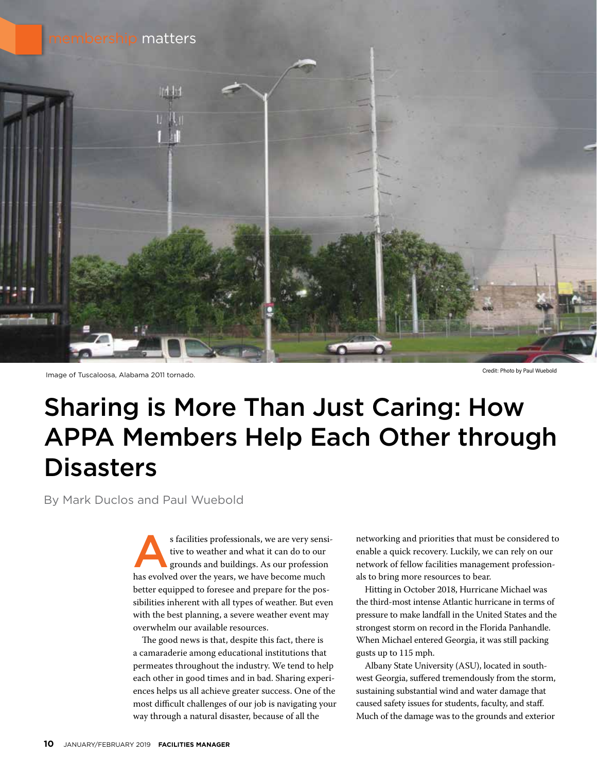

Image of Tuscaloosa, Alabama 2011 tornado. Credit: Photo by Paul Wuebold

### Sharing is More Than Just Caring: How APPA Members Help Each Other through **Disasters**

By Mark Duclos and Paul Wuebold

s facilities professionals, we are very sensi-<br>tive to weather and what it can do to our<br>grounds and buildings. As our profession<br>has avalued over the vears we have become much tive to weather and what it can do to our grounds and buildings. As our profession has evolved over the years, we have become much better equipped to foresee and prepare for the possibilities inherent with all types of weather. But even with the best planning, a severe weather event may overwhelm our available resources.

The good news is that, despite this fact, there is a camaraderie among educational institutions that permeates throughout the industry. We tend to help each other in good times and in bad. Sharing experiences helps us all achieve greater success. One of the most difficult challenges of our job is navigating your way through a natural disaster, because of all the

networking and priorities that must be considered to enable a quick recovery. Luckily, we can rely on our network of fellow facilities management professionals to bring more resources to bear.

Hitting in October 2018, Hurricane Michael was the third-most intense Atlantic hurricane in terms of pressure to make landfall in the United States and the strongest storm on record in the Florida Panhandle. When Michael entered Georgia, it was still packing gusts up to 115 mph.

Albany State University (ASU), located in southwest Georgia, suffered tremendously from the storm, sustaining substantial wind and water damage that caused safety issues for students, faculty, and staff. Much of the damage was to the grounds and exterior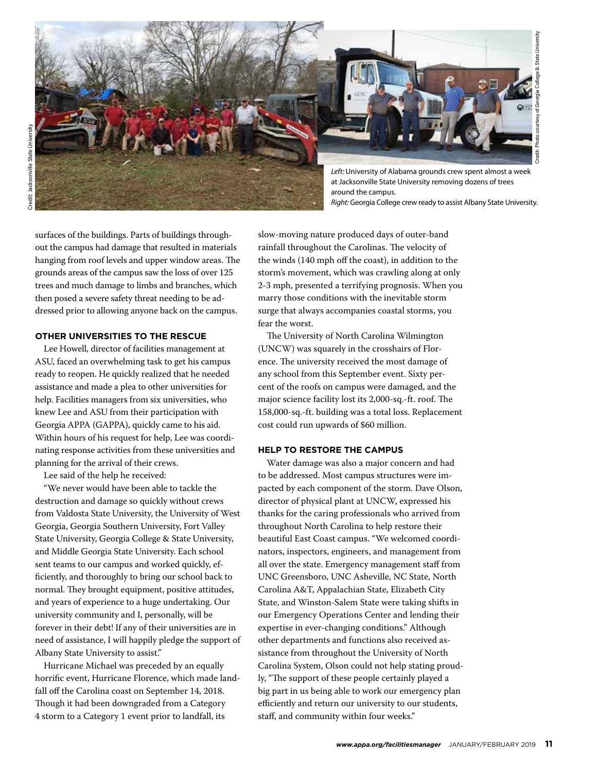

surfaces of the buildings. Parts of buildings throughout the campus had damage that resulted in materials hanging from roof levels and upper window areas. The grounds areas of the campus saw the loss of over 125 trees and much damage to limbs and branches, which then posed a severe safety threat needing to be addressed prior to allowing anyone back on the campus.

### **OTHER UNIVERSITIES TO THE RESCUE**

Lee Howell, director of facilities management at ASU, faced an overwhelming task to get his campus ready to reopen. He quickly realized that he needed assistance and made a plea to other universities for help. Facilities managers from six universities, who knew Lee and ASU from their participation with Georgia APPA (GAPPA), quickly came to his aid. Within hours of his request for help, Lee was coordinating response activities from these universities and planning for the arrival of their crews.

Lee said of the help he received:

"We never would have been able to tackle the destruction and damage so quickly without crews from Valdosta State University, the University of West Georgia, Georgia Southern University, Fort Valley State University, Georgia College & State University, and Middle Georgia State University. Each school sent teams to our campus and worked quickly, efficiently, and thoroughly to bring our school back to normal. They brought equipment, positive attitudes, and years of experience to a huge undertaking. Our university community and I, personally, will be forever in their debt! If any of their universities are in need of assistance, I will happily pledge the support of Albany State University to assist."

Hurricane Michael was preceded by an equally horrific event, Hurricane Florence, which made landfall off the Carolina coast on September 14, 2018. Though it had been downgraded from a Category 4 storm to a Category 1 event prior to landfall, its

slow-moving nature produced days of outer-band rainfall throughout the Carolinas. The velocity of the winds (140 mph off the coast), in addition to the storm's movement, which was crawling along at only 2-3 mph, presented a terrifying prognosis. When you marry those conditions with the inevitable storm surge that always accompanies coastal storms, you fear the worst.

The University of North Carolina Wilmington (UNCW) was squarely in the crosshairs of Florence. The university received the most damage of any school from this September event. Sixty percent of the roofs on campus were damaged, and the major science facility lost its 2,000-sq.-ft. roof. The 158,000-sq.-ft. building was a total loss. Replacement cost could run upwards of \$60 million.

### **HELP TO RESTORE THE CAMPUS**

Water damage was also a major concern and had to be addressed. Most campus structures were impacted by each component of the storm. Dave Olson, director of physical plant at UNCW, expressed his thanks for the caring professionals who arrived from throughout North Carolina to help restore their beautiful East Coast campus. "We welcomed coordinators, inspectors, engineers, and management from all over the state. Emergency management staff from UNC Greensboro, UNC Asheville, NC State, North Carolina A&T, Appalachian State, Elizabeth City State, and Winston-Salem State were taking shifts in our Emergency Operations Center and lending their expertise in ever-changing conditions." Although other departments and functions also received assistance from throughout the University of North Carolina System, Olson could not help stating proudly, "The support of these people certainly played a big part in us being able to work our emergency plan efficiently and return our university to our students, staff, and community within four weeks."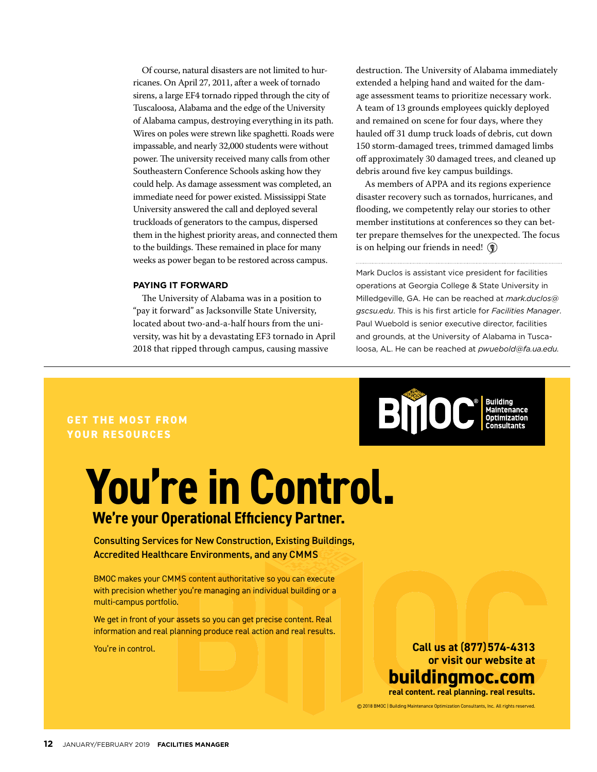Of course, natural disasters are not limited to hurricanes. On April 27, 2011, after a week of tornado sirens, a large EF4 tornado ripped through the city of Tuscaloosa, Alabama and the edge of the University of Alabama campus, destroying everything in its path. Wires on poles were strewn like spaghetti. Roads were impassable, and nearly 32,000 students were without power. The university received many calls from other Southeastern Conference Schools asking how they could help. As damage assessment was completed, an immediate need for power existed. Mississippi State University answered the call and deployed several truckloads of generators to the campus, dispersed them in the highest priority areas, and connected them to the buildings. These remained in place for many weeks as power began to be restored across campus.

#### **PAYING IT FORWARD**

The University of Alabama was in a position to "pay it forward" as Jacksonville State University, located about two-and-a-half hours from the university, was hit by a devastating EF3 tornado in April 2018 that ripped through campus, causing massive  $\frac{1}{2}$   $\frac{1}{2}$   $\frac{1}{2}$   $\frac{1}{2}$   $\frac{1}{3}$   $\frac{1}{3}$   $\frac{1}{2}$ 

destruction. The University of Alabama immediately extended a helping hand and waited for the damage assessment teams to prioritize necessary work. A team of 13 grounds employees quickly deployed and remained on scene for four days, where they hauled off 31 dump truck loads of debris, cut down 150 storm-damaged trees, trimmed damaged limbs off approximately 30 damaged trees, and cleaned up debris around five key campus buildings.

As members of APPA and its regions experience disaster recovery such as tornados, hurricanes, and flooding, we competently relay our stories to other member institutions at conferences so they can better prepare themselves for the unexpected. The focus is on helping our friends in need!  $\binom{2}{3}$ 

Mark Duclos is assistant vice president for facilities operations at Georgia College & State University in Milledgeville, GA. He can be reached at *mark.duclos@ gscsu.edu*. This is his first article for *Facilities Manager*. Paul Wuebold is senior executive director, facilities and grounds, at the University of Alabama in Tuscaloosa, AL. He can be reached at *pwuebold@fa.ua.edu.* 

### **GET THE MOST FROM YOUR RESOURCES**

## **We're your Operational Efficiency Partner. You're in Control.**

### Consulting Services for New Construction, Existing Buildings, Accredited Healthcare Environments, and any CMMS

BMOC makes your CMMS content authoritative so you can execute with precision whether you're managing an individual building or a multi-campus portfolio.

We get in front of your assets so you can get precise content. Real information and real planning produce real action and real results.

You're in control.

# **BMOC** Building

**Call us at** (**877**) **574-4313 or visit our website at**

**buildingmoc.com real content. real planning. real results.**

© 2018 BMOC | Building Maintenance Optimization Consultants, Inc. All rights reserved.